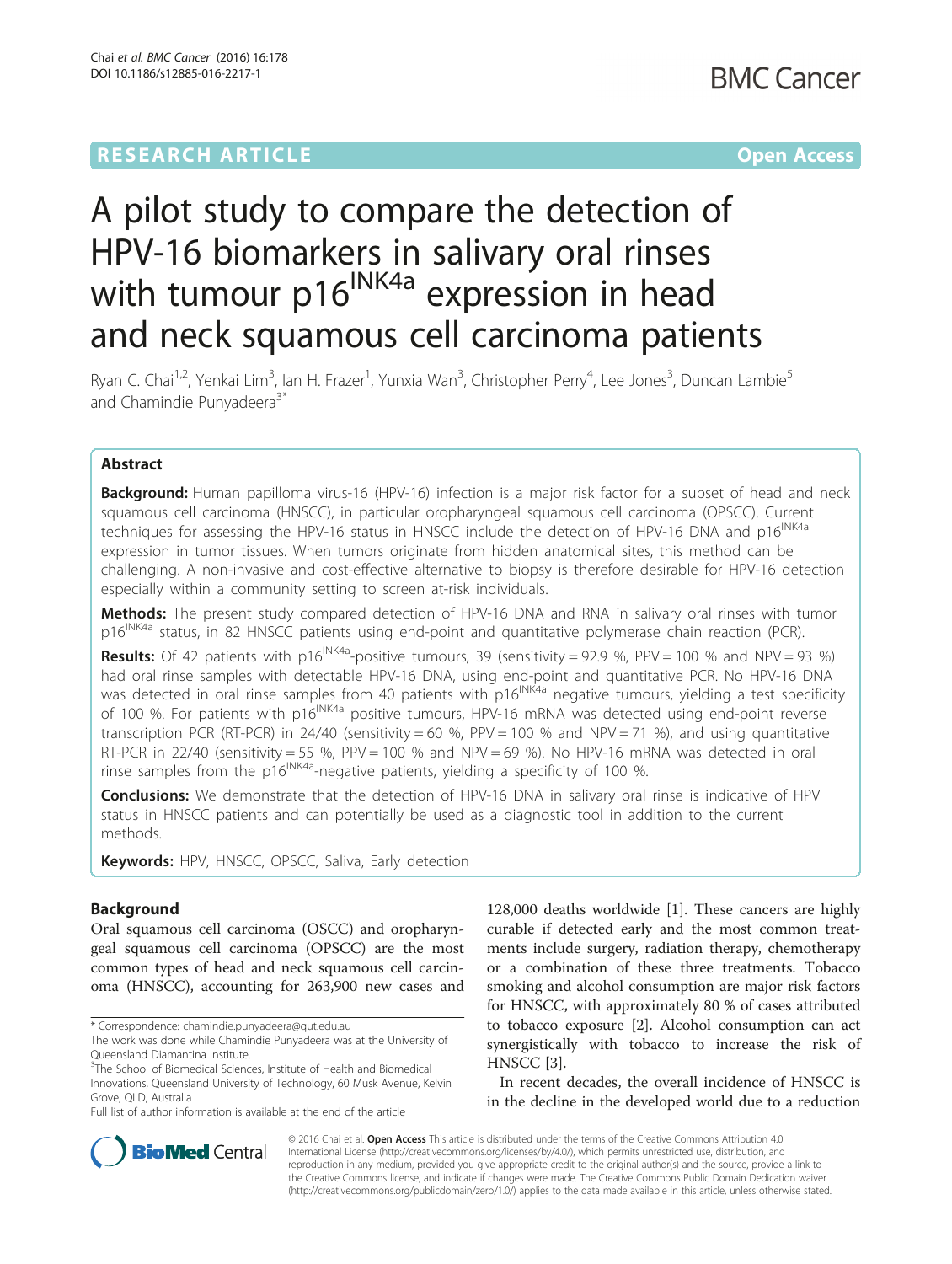# A pilot study to compare the detection of HPV-16 biomarkers in salivary oral rinses with tumour  $p16$ <sup>INK4a</sup> expression in head and neck squamous cell carcinoma patients

Ryan C. Chai<sup>1,2</sup>, Yenkai Lim<sup>3</sup>, Ian H. Frazer<sup>1</sup>, Yunxia Wan<sup>3</sup>, Christopher Perry<sup>4</sup>, Lee Jones<sup>3</sup>, Duncan Lambie<sup>5</sup> and Chamindie Punyadeera<sup>3\*</sup>

# Abstract

**Background:** Human papilloma virus-16 (HPV-16) infection is a major risk factor for a subset of head and neck squamous cell carcinoma (HNSCC), in particular oropharyngeal squamous cell carcinoma (OPSCC). Current techniques for assessing the HPV-16 status in HNSCC include the detection of HPV-16 DNA and p16<sup>INK4a</sup> expression in tumor tissues. When tumors originate from hidden anatomical sites, this method can be challenging. A non-invasive and cost-effective alternative to biopsy is therefore desirable for HPV-16 detection especially within a community setting to screen at-risk individuals.

Methods: The present study compared detection of HPV-16 DNA and RNA in salivary oral rinses with tumor p16<sup>INK4a</sup> status, in 82 HNSCC patients using end-point and quantitative polymerase chain reaction (PCR).

**Results:** Of 42 patients with p16<sup>INK4a</sup>-positive tumours, 39 (sensitivity = 92.9 %, PPV = 100 % and NPV = 93 %) had oral rinse samples with detectable HPV-16 DNA, using end-point and quantitative PCR. No HPV-16 DNA was detected in oral rinse samples from 40 patients with p16<sup>INK4a</sup> negative tumours, yielding a test specificity of 100 %. For patients with  $p16^{INKA}$  positive tumours, HPV-16 mRNA was detected using end-point reverse transcription PCR (RT-PCR) in 24/40 (sensitivity = 60 %, PPV = 100 % and NPV = 71 %), and using quantitative RT-PCR in 22/40 (sensitivity = 55 %, PPV = 100 % and NPV = 69 %). No HPV-16 mRNA was detected in oral rinse samples from the  $p16^{INK4a}$ -negative patients, yielding a specificity of 100 %.

**Conclusions:** We demonstrate that the detection of HPV-16 DNA in salivary oral rinse is indicative of HPV status in HNSCC patients and can potentially be used as a diagnostic tool in addition to the current methods.

Keywords: HPV, HNSCC, OPSCC, Saliva, Early detection

# Background

Oral squamous cell carcinoma (OSCC) and oropharyngeal squamous cell carcinoma (OPSCC) are the most common types of head and neck squamous cell carcinoma (HNSCC), accounting for 263,900 new cases and

\* Correspondence: [chamindie.punyadeera@qut.edu.au](mailto:chamindie.punyadeera@qut.edu.au)

The work was done while Chamindie Punyadeera was at the University of Queensland Diamantina Institute.

<sup>3</sup>The School of Biomedical Sciences, Institute of Health and Biomedical Innovations, Queensland University of Technology, 60 Musk Avenue, Kelvin Grove, QLD, Australia

Full list of author information is available at the end of the article

128,000 deaths worldwide [\[1](#page-6-0)]. These cancers are highly curable if detected early and the most common treatments include surgery, radiation therapy, chemotherapy or a combination of these three treatments. Tobacco smoking and alcohol consumption are major risk factors for HNSCC, with approximately 80 % of cases attributed to tobacco exposure [\[2](#page-6-0)]. Alcohol consumption can act synergistically with tobacco to increase the risk of HNSCC [\[3](#page-6-0)].

In recent decades, the overall incidence of HNSCC is in the decline in the developed world due to a reduction



© 2016 Chai et al. Open Access This article is distributed under the terms of the Creative Commons Attribution 4.0 International License [\(http://creativecommons.org/licenses/by/4.0/](http://creativecommons.org/licenses/by/4.0/)), which permits unrestricted use, distribution, and reproduction in any medium, provided you give appropriate credit to the original author(s) and the source, provide a link to the Creative Commons license, and indicate if changes were made. The Creative Commons Public Domain Dedication waiver [\(http://creativecommons.org/publicdomain/zero/1.0/](http://creativecommons.org/publicdomain/zero/1.0/)) applies to the data made available in this article, unless otherwise stated.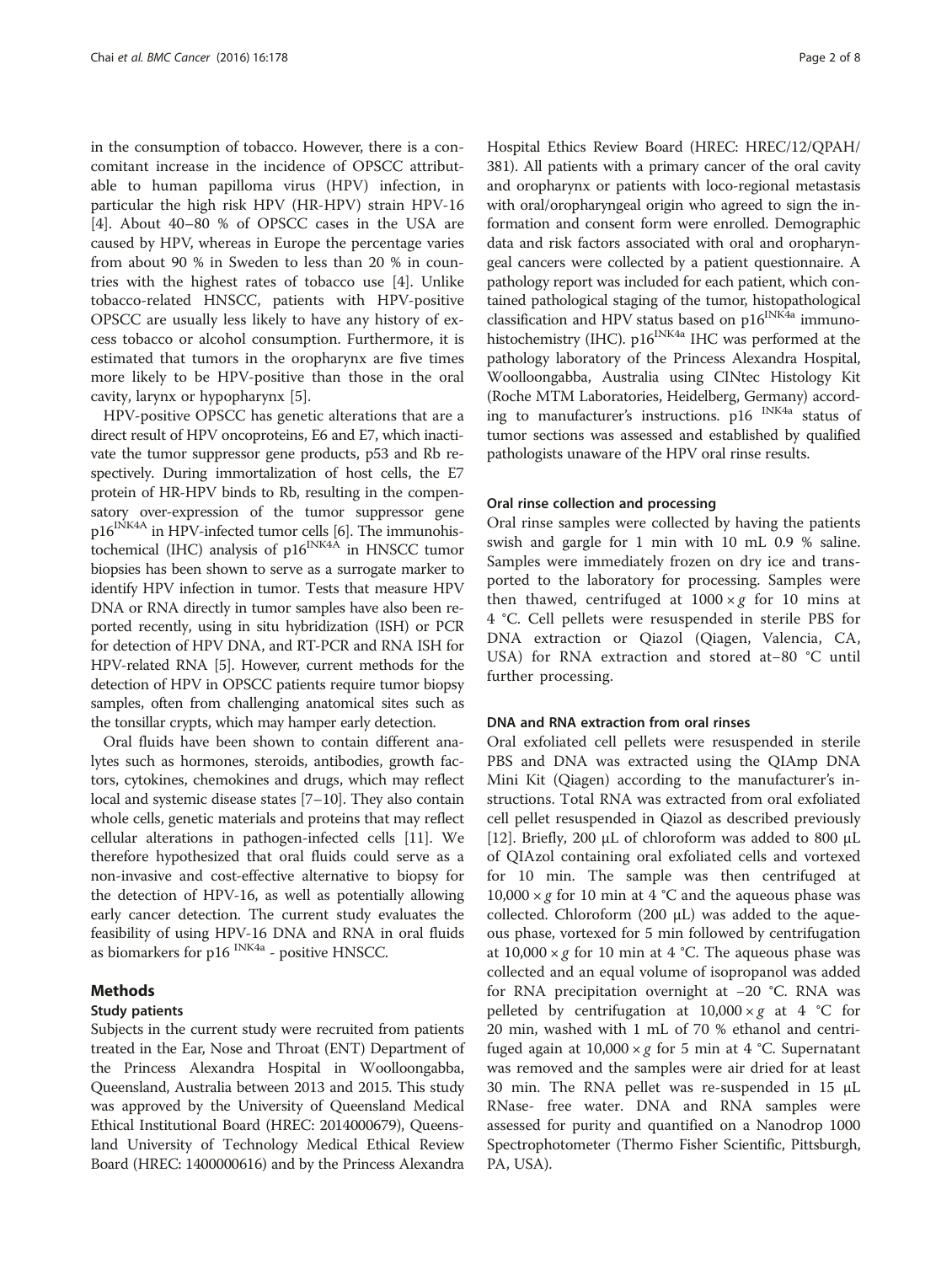in the consumption of tobacco. However, there is a concomitant increase in the incidence of OPSCC attributable to human papilloma virus (HPV) infection, in particular the high risk HPV (HR-HPV) strain HPV-16 [[4\]](#page-6-0). About 40–80 % of OPSCC cases in the USA are caused by HPV, whereas in Europe the percentage varies from about 90 % in Sweden to less than 20 % in countries with the highest rates of tobacco use [[4](#page-6-0)]. Unlike tobacco-related HNSCC, patients with HPV-positive OPSCC are usually less likely to have any history of excess tobacco or alcohol consumption. Furthermore, it is estimated that tumors in the oropharynx are five times more likely to be HPV-positive than those in the oral cavity, larynx or hypopharynx [\[5](#page-7-0)].

HPV-positive OPSCC has genetic alterations that are a direct result of HPV oncoproteins, E6 and E7, which inactivate the tumor suppressor gene products, p53 and Rb respectively. During immortalization of host cells, the E7 protein of HR-HPV binds to Rb, resulting in the compensatory over-expression of the tumor suppressor gene  $p16^{INK4A}$  in HPV-infected tumor cells [\[6](#page-7-0)]. The immunohistochemical (IHC) analysis of  $p16^{INK4A}$  in HNSCC tumor biopsies has been shown to serve as a surrogate marker to identify HPV infection in tumor. Tests that measure HPV DNA or RNA directly in tumor samples have also been reported recently, using in situ hybridization (ISH) or PCR for detection of HPV DNA, and RT-PCR and RNA ISH for HPV-related RNA [\[5\]](#page-7-0). However, current methods for the detection of HPV in OPSCC patients require tumor biopsy samples, often from challenging anatomical sites such as the tonsillar crypts, which may hamper early detection.

Oral fluids have been shown to contain different analytes such as hormones, steroids, antibodies, growth factors, cytokines, chemokines and drugs, which may reflect local and systemic disease states [\[7](#page-7-0)–[10](#page-7-0)]. They also contain whole cells, genetic materials and proteins that may reflect cellular alterations in pathogen-infected cells [\[11\]](#page-7-0). We therefore hypothesized that oral fluids could serve as a non-invasive and cost-effective alternative to biopsy for the detection of HPV-16, as well as potentially allowing early cancer detection. The current study evaluates the feasibility of using HPV-16 DNA and RNA in oral fluids as biomarkers for p16 INK4a - positive HNSCC.

#### Methods

#### Study patients

Subjects in the current study were recruited from patients treated in the Ear, Nose and Throat (ENT) Department of the Princess Alexandra Hospital in Woolloongabba, Queensland, Australia between 2013 and 2015. This study was approved by the University of Queensland Medical Ethical Institutional Board (HREC: 2014000679), Queensland University of Technology Medical Ethical Review Board (HREC: 1400000616) and by the Princess Alexandra Hospital Ethics Review Board (HREC: HREC/12/QPAH/ 381). All patients with a primary cancer of the oral cavity and oropharynx or patients with loco-regional metastasis with oral/oropharyngeal origin who agreed to sign the information and consent form were enrolled. Demographic data and risk factors associated with oral and oropharyngeal cancers were collected by a patient questionnaire. A pathology report was included for each patient, which contained pathological staging of the tumor, histopathological classification and HPV status based on p16<sup>INK4a</sup> immunohistochemistry (IHC). p16<sup>INK4a</sup> IHC was performed at the pathology laboratory of the Princess Alexandra Hospital, Woolloongabba, Australia using CINtec Histology Kit (Roche MTM Laboratories, Heidelberg, Germany) according to manufacturer's instructions. p16 INK4a status of tumor sections was assessed and established by qualified pathologists unaware of the HPV oral rinse results.

#### Oral rinse collection and processing

Oral rinse samples were collected by having the patients swish and gargle for 1 min with 10 mL 0.9 % saline. Samples were immediately frozen on dry ice and transported to the laboratory for processing. Samples were then thawed, centrifuged at  $1000 \times g$  for 10 mins at 4 °C. Cell pellets were resuspended in sterile PBS for DNA extraction or Qiazol (Qiagen, Valencia, CA, USA) for RNA extraction and stored at−80 °C until further processing.

#### DNA and RNA extraction from oral rinses

Oral exfoliated cell pellets were resuspended in sterile PBS and DNA was extracted using the QIAmp DNA Mini Kit (Qiagen) according to the manufacturer's instructions. Total RNA was extracted from oral exfoliated cell pellet resuspended in Qiazol as described previously [[12\]](#page-7-0). Briefly, 200  $\mu$ L of chloroform was added to 800  $\mu$ L of QIAzol containing oral exfoliated cells and vortexed for 10 min. The sample was then centrifuged at  $10,000 \times g$  for 10 min at 4 °C and the aqueous phase was collected. Chloroform (200 μL) was added to the aqueous phase, vortexed for 5 min followed by centrifugation at  $10,000 \times g$  for 10 min at 4 °C. The aqueous phase was collected and an equal volume of isopropanol was added for RNA precipitation overnight at −20 °C. RNA was pelleted by centrifugation at  $10,000 \times g$  at 4 °C for 20 min, washed with 1 mL of 70 % ethanol and centrifuged again at  $10,000 \times g$  for 5 min at 4 °C. Supernatant was removed and the samples were air dried for at least 30 min. The RNA pellet was re-suspended in 15 μL RNase- free water. DNA and RNA samples were assessed for purity and quantified on a Nanodrop 1000 Spectrophotometer (Thermo Fisher Scientific, Pittsburgh, PA, USA).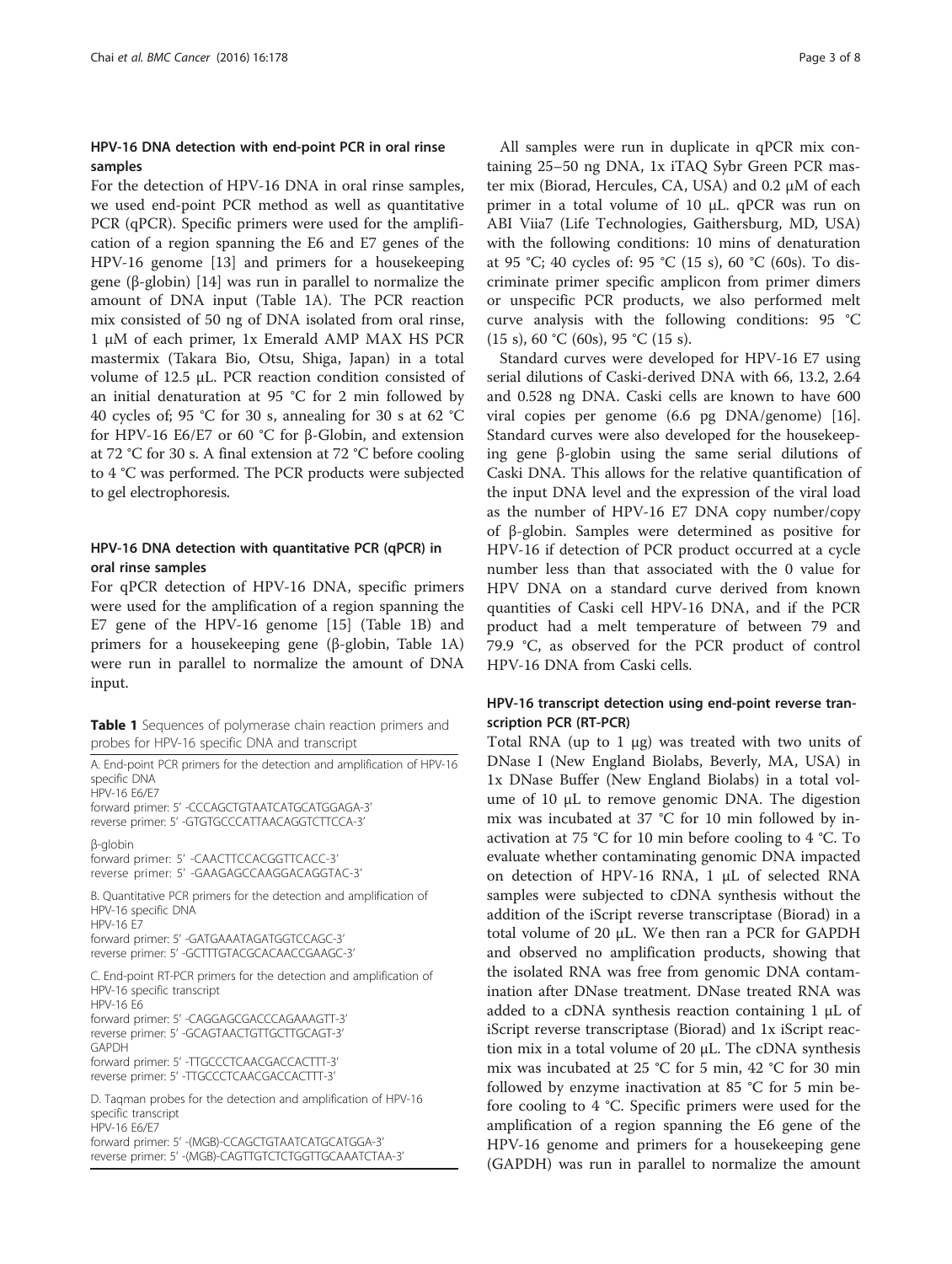# <span id="page-2-0"></span>HPV-16 DNA detection with end-point PCR in oral rinse samples

For the detection of HPV-16 DNA in oral rinse samples, we used end-point PCR method as well as quantitative PCR (qPCR). Specific primers were used for the amplification of a region spanning the E6 and E7 genes of the HPV-16 genome [[13\]](#page-7-0) and primers for a housekeeping gene (β-globin) [[14\]](#page-7-0) was run in parallel to normalize the amount of DNA input (Table 1A). The PCR reaction mix consisted of 50 ng of DNA isolated from oral rinse, 1 μM of each primer, 1x Emerald AMP MAX HS PCR mastermix (Takara Bio, Otsu, Shiga, Japan) in a total volume of 12.5 μL. PCR reaction condition consisted of an initial denaturation at 95 °C for 2 min followed by 40 cycles of; 95 °C for 30 s, annealing for 30 s at 62 °C for HPV-16 E6/E7 or 60 °C for β-Globin, and extension at 72 °C for 30 s. A final extension at 72 °C before cooling to 4 °C was performed. The PCR products were subjected to gel electrophoresis.

# HPV-16 DNA detection with quantitative PCR (qPCR) in oral rinse samples

For qPCR detection of HPV-16 DNA, specific primers were used for the amplification of a region spanning the E7 gene of the HPV-16 genome [\[15](#page-7-0)] (Table 1B) and primers for a housekeeping gene (β-globin, Table 1A) were run in parallel to normalize the amount of DNA input.

Table 1 Sequences of polymerase chain reaction primers and probes for HPV-16 specific DNA and transcript

A. End-point PCR primers for the detection and amplification of HPV-16 specific DNA HPV-16 E6/E7 forward primer: 5' -CCCAGCTGTAATCATGCATGGAGA-3' reverse primer: 5' -GTGTGCCCATTAACAGGTCTTCCA-3' β-globin forward primer: 5' -CAACTTCCACGGTTCACC-3' reverse primer: 5' -GAAGAGCCAAGGACAGGTAC-3' B. Quantitative PCR primers for the detection and amplification of HPV-16 specific DNA HPV-16 E7 forward primer: 5' -GATGAAATAGATGGTCCAGC-3' reverse primer: 5' -GCTTTGTACGCACAACCGAAGC-3' C. End-point RT-PCR primers for the detection and amplification of HPV-16 specific transcript HPV-16 E6 forward primer: 5' -CAGGAGCGACCCAGAAAGTT-3' reverse primer: 5' -GCAGTAACTGTTGCTTGCAGT-3' GAPDH forward primer: 5' -TTGCCCTCAACGACCACTTT-3' reverse primer: 5' -TTGCCCTCAACGACCACTTT-3' D. Taqman probes for the detection and amplification of HPV-16 specific transcript

forward primer: 5' -(MGB)-CCAGCTGTAATCATGCATGGA-3' reverse primer: 5' -(MGB)-CAGTTGTCTCTGGTTGCAAATCTAA-3'

HPV-16 E6/E7

All samples were run in duplicate in qPCR mix containing 25–50 ng DNA, 1x iTAQ Sybr Green PCR master mix (Biorad, Hercules, CA, USA) and 0.2 μM of each primer in a total volume of 10 μL. qPCR was run on ABI Viia7 (Life Technologies, Gaithersburg, MD, USA) with the following conditions: 10 mins of denaturation at 95 °C; 40 cycles of: 95 °C (15 s), 60 °C (60s). To discriminate primer specific amplicon from primer dimers or unspecific PCR products, we also performed melt curve analysis with the following conditions: 95 °C  $(15 \text{ s})$ , 60 °C (60s), 95 °C (15 s).

Standard curves were developed for HPV-16 E7 using serial dilutions of Caski-derived DNA with 66, 13.2, 2.64 and 0.528 ng DNA. Caski cells are known to have 600 viral copies per genome (6.6 pg DNA/genome) [\[16](#page-7-0)]. Standard curves were also developed for the housekeeping gene β-globin using the same serial dilutions of Caski DNA. This allows for the relative quantification of the input DNA level and the expression of the viral load as the number of HPV-16 E7 DNA copy number/copy of β-globin. Samples were determined as positive for HPV-16 if detection of PCR product occurred at a cycle number less than that associated with the 0 value for HPV DNA on a standard curve derived from known quantities of Caski cell HPV-16 DNA, and if the PCR product had a melt temperature of between 79 and 79.9 °C, as observed for the PCR product of control HPV-16 DNA from Caski cells.

# HPV-16 transcript detection using end-point reverse transcription PCR (RT-PCR)

Total RNA (up to 1  $\mu$ g) was treated with two units of DNase I (New England Biolabs, Beverly, MA, USA) in 1x DNase Buffer (New England Biolabs) in a total volume of 10 μL to remove genomic DNA. The digestion mix was incubated at 37 °C for 10 min followed by inactivation at 75 °C for 10 min before cooling to 4 °C. To evaluate whether contaminating genomic DNA impacted on detection of HPV-16 RNA, 1 μL of selected RNA samples were subjected to cDNA synthesis without the addition of the iScript reverse transcriptase (Biorad) in a total volume of 20 μL. We then ran a PCR for GAPDH and observed no amplification products, showing that the isolated RNA was free from genomic DNA contamination after DNase treatment. DNase treated RNA was added to a cDNA synthesis reaction containing 1 μL of iScript reverse transcriptase (Biorad) and 1x iScript reaction mix in a total volume of 20 μL. The cDNA synthesis mix was incubated at 25 °C for 5 min, 42 °C for 30 min followed by enzyme inactivation at 85 °C for 5 min before cooling to 4 °C. Specific primers were used for the amplification of a region spanning the E6 gene of the HPV-16 genome and primers for a housekeeping gene (GAPDH) was run in parallel to normalize the amount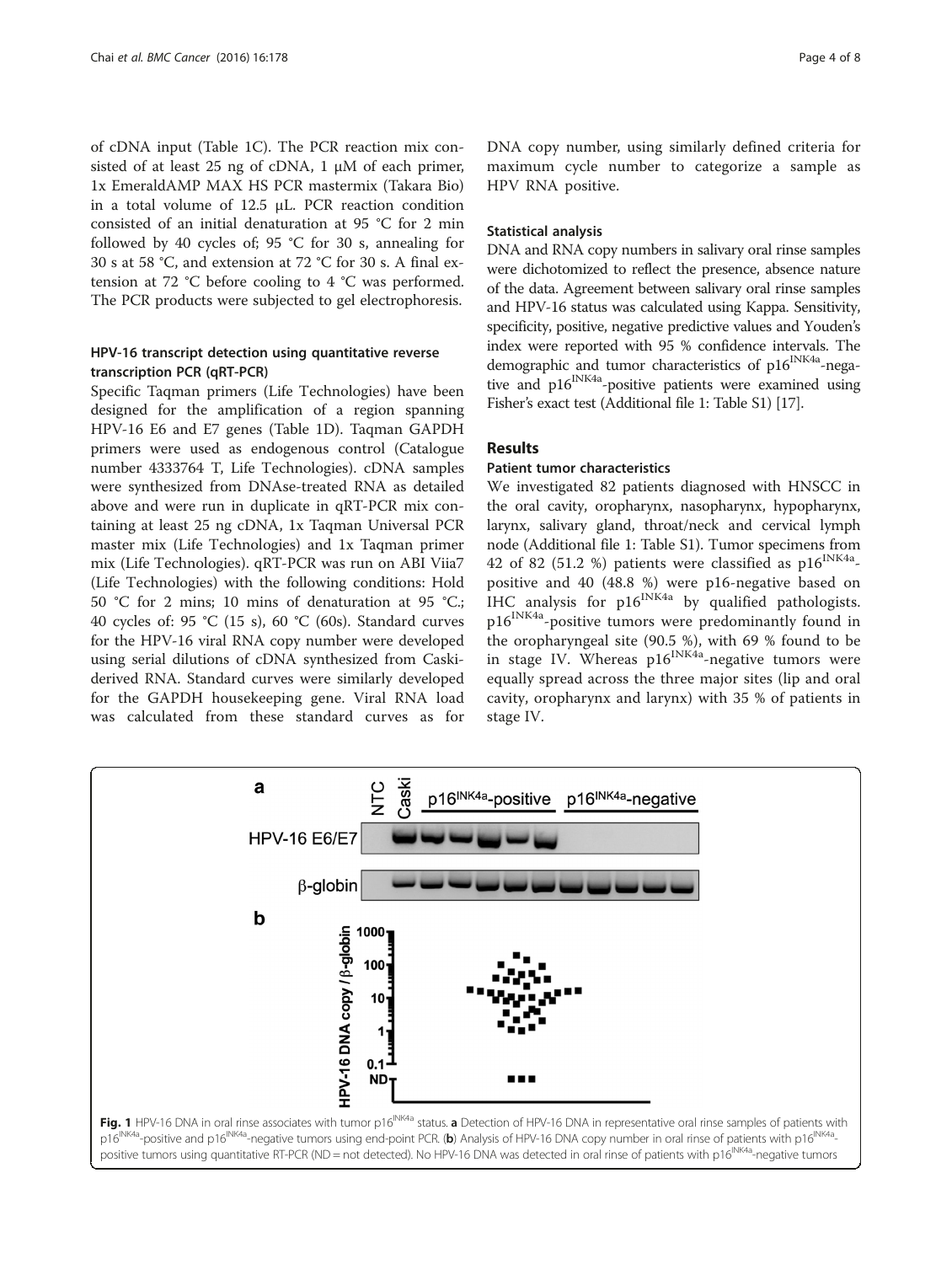<span id="page-3-0"></span>of cDNA input (Table [1C](#page-2-0)). The PCR reaction mix consisted of at least 25 ng of cDNA, 1 μM of each primer, 1x EmeraldAMP MAX HS PCR mastermix (Takara Bio) in a total volume of 12.5 μL. PCR reaction condition consisted of an initial denaturation at 95 °C for 2 min followed by 40 cycles of; 95 °C for 30 s, annealing for 30 s at 58 °C, and extension at 72 °C for 30 s. A final extension at 72 °C before cooling to 4 °C was performed. The PCR products were subjected to gel electrophoresis.

# HPV-16 transcript detection using quantitative reverse transcription PCR (qRT-PCR)

Specific Taqman primers (Life Technologies) have been designed for the amplification of a region spanning HPV-16 E6 and E7 genes (Table [1](#page-2-0)D). Taqman GAPDH primers were used as endogenous control (Catalogue number 4333764 T, Life Technologies). cDNA samples were synthesized from DNAse-treated RNA as detailed above and were run in duplicate in qRT-PCR mix containing at least 25 ng cDNA, 1x Taqman Universal PCR master mix (Life Technologies) and 1x Taqman primer mix (Life Technologies). qRT-PCR was run on ABI Viia7 (Life Technologies) with the following conditions: Hold 50 °C for 2 mins; 10 mins of denaturation at 95 °C.; 40 cycles of: 95 °C (15 s), 60 °C (60s). Standard curves for the HPV-16 viral RNA copy number were developed using serial dilutions of cDNA synthesized from Caskiderived RNA. Standard curves were similarly developed for the GAPDH housekeeping gene. Viral RNA load was calculated from these standard curves as for

DNA copy number, using similarly defined criteria for maximum cycle number to categorize a sample as HPV RNA positive.

#### Statistical analysis

DNA and RNA copy numbers in salivary oral rinse samples were dichotomized to reflect the presence, absence nature of the data. Agreement between salivary oral rinse samples and HPV-16 status was calculated using Kappa. Sensitivity, specificity, positive, negative predictive values and Youden's index were reported with 95 % confidence intervals. The demographic and tumor characteristics of p16<sup>INK4a</sup>-negative and p16<sup>INK4a</sup>-positive patients were examined using Fisher's exact test (Additional file [1:](#page-6-0) Table S1) [[17](#page-7-0)].

# Results

#### Patient tumor characteristics

We investigated 82 patients diagnosed with HNSCC in the oral cavity, oropharynx, nasopharynx, hypopharynx, larynx, salivary gland, throat/neck and cervical lymph node (Additional file [1:](#page-6-0) Table S1). Tumor specimens from 42 of 82 (51.2 %) patients were classified as  $p16^{INK4a}$ positive and 40 (48.8 %) were p16-negative based on IHC analysis for  $p16^{INK4a}$  by qualified pathologists. p16INK4a-positive tumors were predominantly found in the oropharyngeal site (90.5 %), with 69 % found to be in stage IV. Whereas  $p16^{INK4a}$ -negative tumors were equally spread across the three major sites (lip and oral cavity, oropharynx and larynx) with 35 % of patients in stage IV.

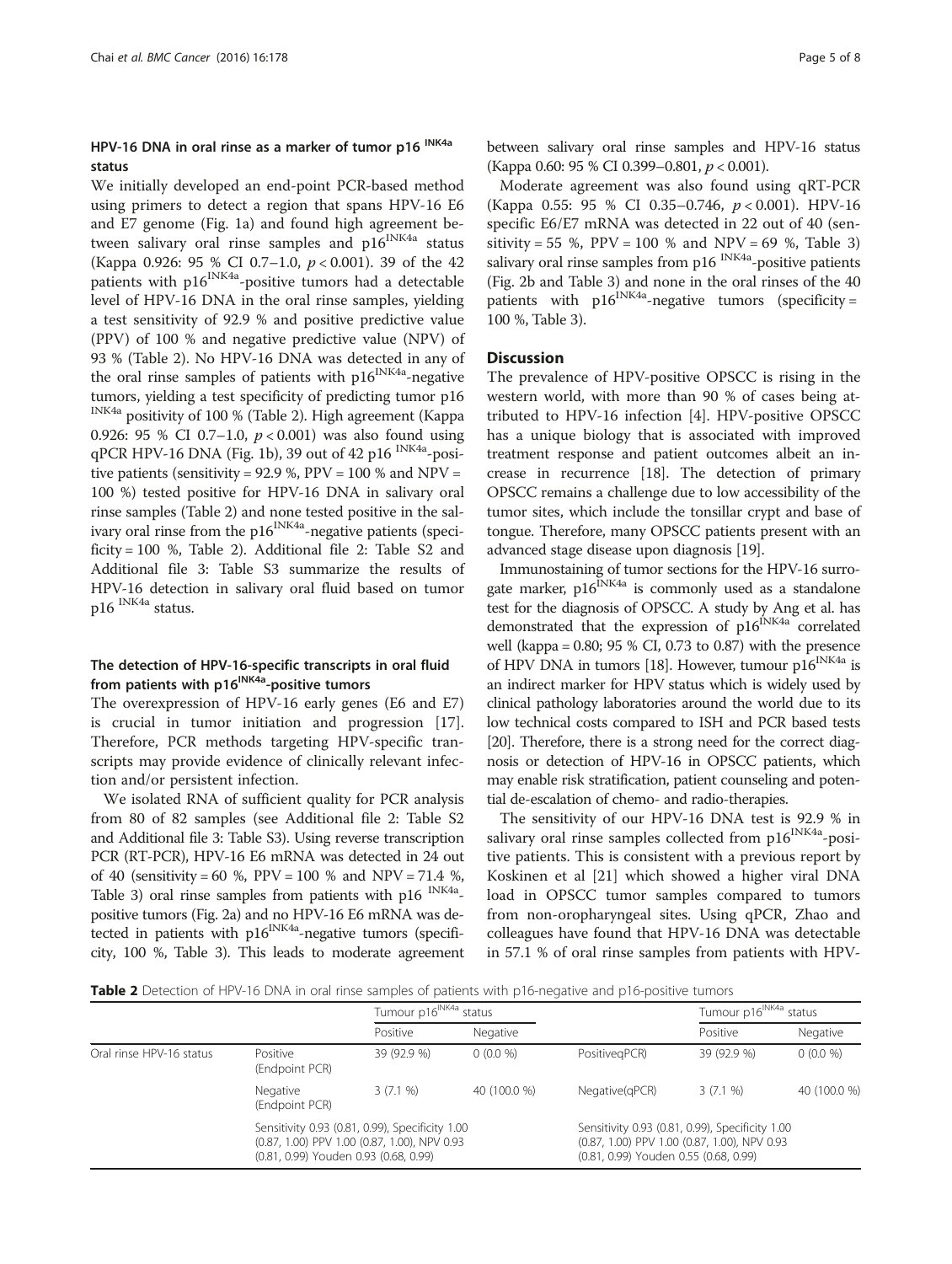#### HPV-16 DNA in oral rinse as a marker of tumor p16 INK4a status

We initially developed an end-point PCR-based method using primers to detect a region that spans HPV-16 E6 and E7 genome (Fig. [1a](#page-3-0)) and found high agreement between salivary oral rinse samples and  $p16^{\text{INK4a}}$  status (Kappa 0.926: 95 % CI 0.7–1.0,  $p < 0.001$ ). 39 of the 42 patients with p16<sup>INK4a</sup>-positive tumors had a detectable level of HPV-16 DNA in the oral rinse samples, yielding a test sensitivity of 92.9 % and positive predictive value (PPV) of 100 % and negative predictive value (NPV) of 93 % (Table 2). No HPV-16 DNA was detected in any of the oral rinse samples of patients with  $p16^{INK4a}$ -negative tumors, yielding a test specificity of predicting tumor p16 INK4a positivity of 100 % (Table 2). High agreement (Kappa 0.926: 95 % CI 0.7-1.0,  $p < 0.001$ ) was also found using qPCR HPV-16 DNA (Fig. [1b](#page-3-0)), 39 out of 42 p16 INK4a-positive patients (sensitivity = 92.9 %,  $PPV = 100$  % and  $NPV =$ 100 %) tested positive for HPV-16 DNA in salivary oral rinse samples (Table 2) and none tested positive in the salivary oral rinse from the  $p16^{INK4a}$ -negative patients (specificity = 100 %, Table 2). Additional file [2:](#page-6-0) Table S2 and Additional file [3](#page-6-0): Table S3 summarize the results of HPV-16 detection in salivary oral fluid based on tumor p16 INK4a status.

#### The detection of HPV-16-specific transcripts in oral fluid from patients with p16<sup>INK4a</sup>-positive tumors

The overexpression of HPV-16 early genes (E6 and E7) is crucial in tumor initiation and progression [\[17](#page-7-0)]. Therefore, PCR methods targeting HPV-specific transcripts may provide evidence of clinically relevant infection and/or persistent infection.

We isolated RNA of sufficient quality for PCR analysis from 80 of 82 samples (see Additional file [2:](#page-6-0) Table S2 and Additional file [3:](#page-6-0) Table S3). Using reverse transcription PCR (RT-PCR), HPV-16 E6 mRNA was detected in 24 out of 40 (sensitivity = 60 %, PPV = 100 % and NPV = 71.4 %, Table [3\)](#page-5-0) oral rinse samples from patients with p16 <sup>INK4a</sup>positive tumors (Fig. [2a\)](#page-5-0) and no HPV-16 E6 mRNA was detected in patients with  $p16^{INK4a}$ -negative tumors (specificity, 100 %, Table [3](#page-5-0)). This leads to moderate agreement between salivary oral rinse samples and HPV-16 status (Kappa 0.60: 95 % CI 0.399–0.801, p < 0.001).

Moderate agreement was also found using qRT-PCR (Kappa 0.55: 95 % CI 0.35-0.746,  $p < 0.001$ ). HPV-16 specific E6/E7 mRNA was detected in 22 out of 40 (sensitivity = 55 %,  $PPV = 100$  % and  $NPV = 69$  %, Table [3](#page-5-0)) salivary oral rinse samples from  $p16$ <sup>INK4a</sup>-positive patients (Fig. [2b](#page-5-0) and Table [3](#page-5-0)) and none in the oral rinses of the 40 patients with  $p16^{INKA}$ -negative tumors (specificity = 100 %, Table [3\)](#page-5-0).

#### **Discussion**

The prevalence of HPV-positive OPSCC is rising in the western world, with more than 90 % of cases being attributed to HPV-16 infection [\[4](#page-6-0)]. HPV-positive OPSCC has a unique biology that is associated with improved treatment response and patient outcomes albeit an increase in recurrence [[18\]](#page-7-0). The detection of primary OPSCC remains a challenge due to low accessibility of the tumor sites, which include the tonsillar crypt and base of tongue. Therefore, many OPSCC patients present with an advanced stage disease upon diagnosis [[19](#page-7-0)].

Immunostaining of tumor sections for the HPV-16 surrogate marker,  $p16^{INK4a}$  is commonly used as a standalone test for the diagnosis of OPSCC. A study by Ang et al. has demonstrated that the expression of p16<sup>INK4a</sup> correlated well (kappa = 0.80; 95 % CI, 0.73 to 0.87) with the presence of HPV DNA in tumors [\[18\]](#page-7-0). However, tumour  $p16^{INK4a}$  is an indirect marker for HPV status which is widely used by clinical pathology laboratories around the world due to its low technical costs compared to ISH and PCR based tests [[20](#page-7-0)]. Therefore, there is a strong need for the correct diagnosis or detection of HPV-16 in OPSCC patients, which may enable risk stratification, patient counseling and potential de-escalation of chemo- and radio-therapies.

The sensitivity of our HPV-16 DNA test is 92.9 % in salivary oral rinse samples collected from p16<sup>INK4a</sup>-positive patients. This is consistent with a previous report by Koskinen et al [[21\]](#page-7-0) which showed a higher viral DNA load in OPSCC tumor samples compared to tumors from non-oropharyngeal sites. Using qPCR, Zhao and colleagues have found that HPV-16 DNA was detectable in 57.1 % of oral rinse samples from patients with HPV-

Table 2 Detection of HPV-16 DNA in oral rinse samples of patients with p16-negative and p16-positive tumors

|                          |                                                                                                                                          | Tumour p16 <sup>INK4a</sup> s<br>status |              |                                                                                                                                          | Tumour p16 <sup>INK4a</sup> status |              |
|--------------------------|------------------------------------------------------------------------------------------------------------------------------------------|-----------------------------------------|--------------|------------------------------------------------------------------------------------------------------------------------------------------|------------------------------------|--------------|
|                          |                                                                                                                                          | Positive                                | Negative     |                                                                                                                                          | Positive                           | Negative     |
| Oral rinse HPV-16 status | Positive<br>(Endpoint PCR)                                                                                                               | 39 (92.9 %)                             | $0(0.0\%)$   | PositivegPCR)                                                                                                                            | 39 (92.9 %)                        | $0(0.0\%)$   |
|                          | Negative<br>(Endpoint PCR)                                                                                                               | 3(7.1%                                  | 40 (100.0 %) | Negative(qPCR)                                                                                                                           | 3(7.1%                             | 40 (100.0 %) |
|                          | Sensitivity 0.93 (0.81, 0.99), Specificity 1.00<br>(0.87, 1.00) PPV 1.00 (0.87, 1.00), NPV 0.93<br>(0.81, 0.99) Youden 0.93 (0.68, 0.99) |                                         |              | Sensitivity 0.93 (0.81, 0.99), Specificity 1.00<br>(0.87, 1.00) PPV 1.00 (0.87, 1.00), NPV 0.93<br>(0.81, 0.99) Youden 0.55 (0.68, 0.99) |                                    |              |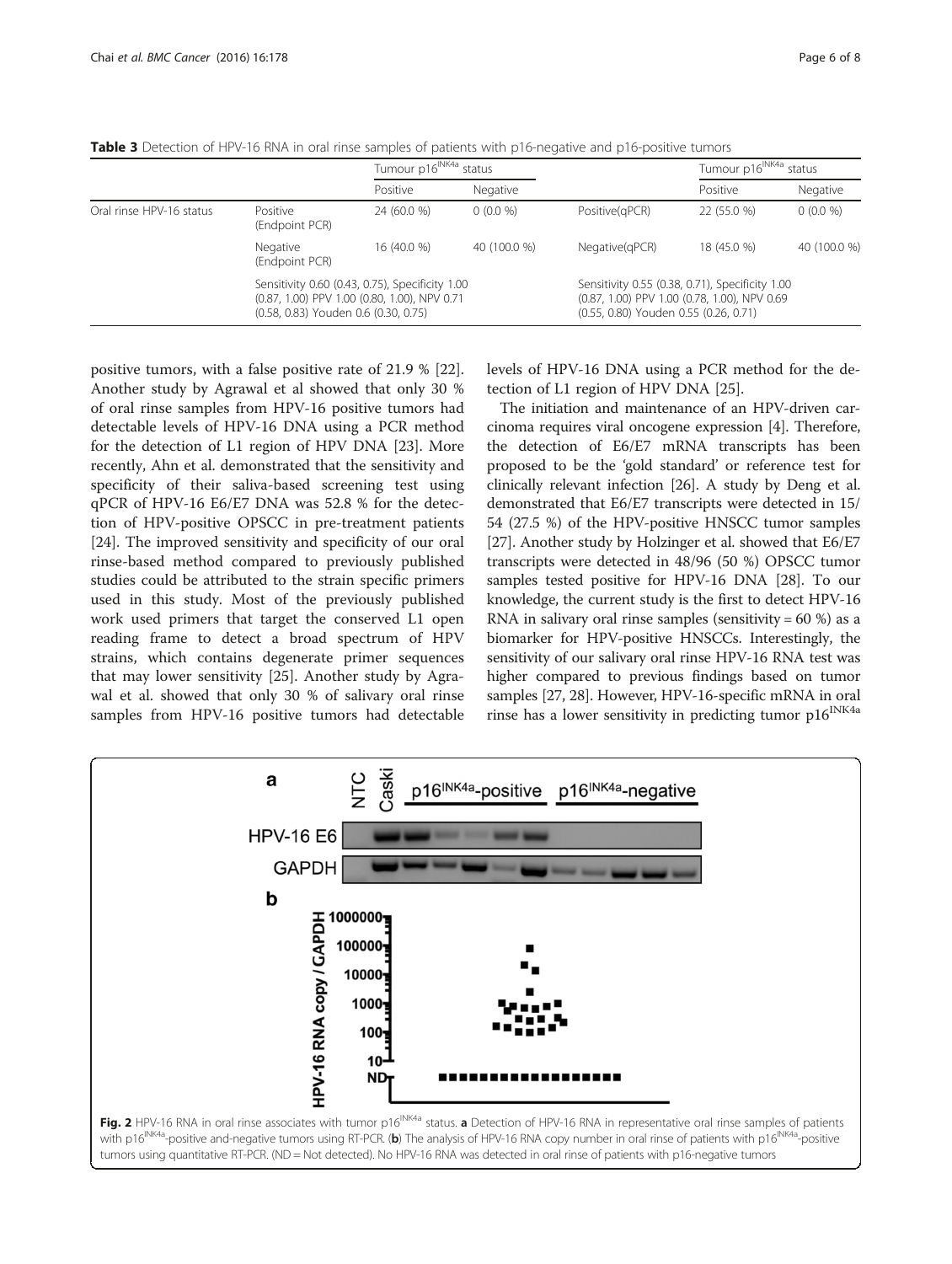<span id="page-5-0"></span>Table 3 Detection of HPV-16 RNA in oral rinse samples of patients with p16-negative and p16-positive tumors

|                          |                                                                                                                                         | Tumour p16 <sup>INK4a</sup> s | status       |                                                                                                                                          | Tumour p16 <sup>INK4a</sup> status |              |  |
|--------------------------|-----------------------------------------------------------------------------------------------------------------------------------------|-------------------------------|--------------|------------------------------------------------------------------------------------------------------------------------------------------|------------------------------------|--------------|--|
|                          |                                                                                                                                         | Positive                      | Negative     |                                                                                                                                          | Positive                           | Negative     |  |
| Oral rinse HPV-16 status | Positive<br>(Endpoint PCR)                                                                                                              | 24 (60.0 %)                   | $0(0.0\%)$   | Positive(qPCR)                                                                                                                           | 22 (55.0 %)                        | $0(0.0\%)$   |  |
|                          | Negative<br>(Endpoint PCR)                                                                                                              | 16 (40.0 %)                   | 40 (100.0 %) | Negative(qPCR)                                                                                                                           | 18 (45.0 %)                        | 40 (100.0 %) |  |
|                          | Sensitivity 0.60 (0.43, 0.75), Specificity 1.00<br>(0.87, 1.00) PPV 1.00 (0.80, 1.00), NPV 0.71<br>(0.58, 0.83) Youden 0.6 (0.30, 0.75) |                               |              | Sensitivity 0.55 (0.38, 0.71), Specificity 1.00<br>(0.87, 1.00) PPV 1.00 (0.78, 1.00), NPV 0.69<br>(0.55, 0.80) Youden 0.55 (0.26, 0.71) |                                    |              |  |

positive tumors, with a false positive rate of 21.9 % [\[22](#page-7-0)]. Another study by Agrawal et al showed that only 30 % of oral rinse samples from HPV-16 positive tumors had detectable levels of HPV-16 DNA using a PCR method for the detection of L1 region of HPV DNA [\[23](#page-7-0)]. More recently, Ahn et al. demonstrated that the sensitivity and specificity of their saliva-based screening test using qPCR of HPV-16 E6/E7 DNA was 52.8 % for the detection of HPV-positive OPSCC in pre-treatment patients [[24\]](#page-7-0). The improved sensitivity and specificity of our oral rinse-based method compared to previously published studies could be attributed to the strain specific primers used in this study. Most of the previously published work used primers that target the conserved L1 open reading frame to detect a broad spectrum of HPV strains, which contains degenerate primer sequences that may lower sensitivity [\[25\]](#page-7-0). Another study by Agrawal et al. showed that only 30 % of salivary oral rinse samples from HPV-16 positive tumors had detectable levels of HPV-16 DNA using a PCR method for the detection of L1 region of HPV DNA [[25](#page-7-0)].

The initiation and maintenance of an HPV-driven carcinoma requires viral oncogene expression [[4\]](#page-6-0). Therefore, the detection of E6/E7 mRNA transcripts has been proposed to be the 'gold standard' or reference test for clinically relevant infection [[26](#page-7-0)]. A study by Deng et al. demonstrated that E6/E7 transcripts were detected in 15/ 54 (27.5 %) of the HPV-positive HNSCC tumor samples [[27](#page-7-0)]. Another study by Holzinger et al. showed that E6/E7 transcripts were detected in 48/96 (50 %) OPSCC tumor samples tested positive for HPV-16 DNA [[28](#page-7-0)]. To our knowledge, the current study is the first to detect HPV-16 RNA in salivary oral rinse samples (sensitivity =  $60\%$ ) as a biomarker for HPV-positive HNSCCs. Interestingly, the sensitivity of our salivary oral rinse HPV-16 RNA test was higher compared to previous findings based on tumor samples [\[27, 28](#page-7-0)]. However, HPV-16-specific mRNA in oral rinse has a lower sensitivity in predicting tumor  $p16^{\text{INK4a}}$ 

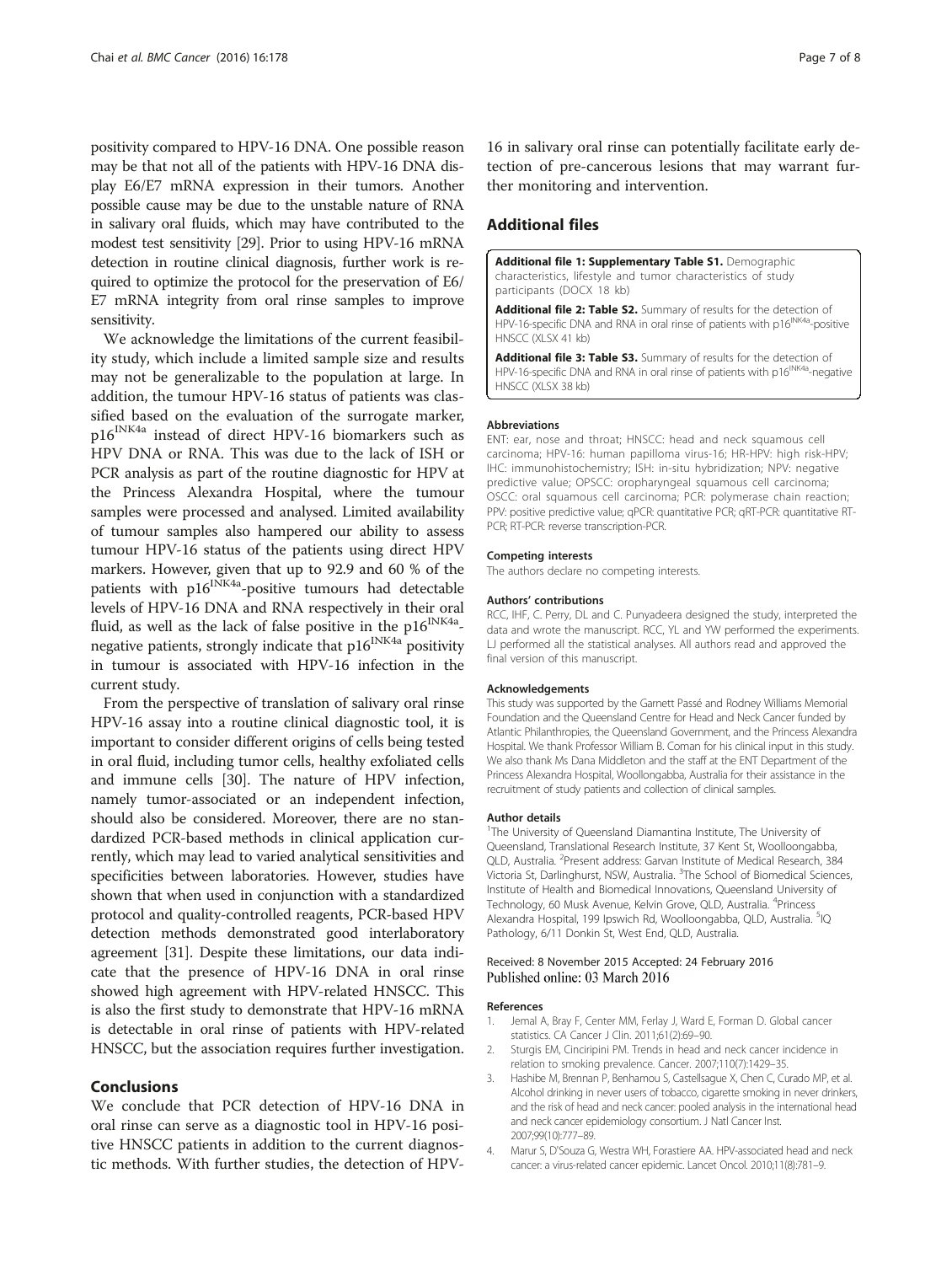<span id="page-6-0"></span>positivity compared to HPV-16 DNA. One possible reason may be that not all of the patients with HPV-16 DNA display E6/E7 mRNA expression in their tumors. Another possible cause may be due to the unstable nature of RNA in salivary oral fluids, which may have contributed to the modest test sensitivity [[29](#page-7-0)]. Prior to using HPV-16 mRNA detection in routine clinical diagnosis, further work is required to optimize the protocol for the preservation of E6/ E7 mRNA integrity from oral rinse samples to improve sensitivity.

We acknowledge the limitations of the current feasibility study, which include a limited sample size and results may not be generalizable to the population at large. In addition, the tumour HPV-16 status of patients was classified based on the evaluation of the surrogate marker, p16INK4a instead of direct HPV-16 biomarkers such as HPV DNA or RNA. This was due to the lack of ISH or PCR analysis as part of the routine diagnostic for HPV at the Princess Alexandra Hospital, where the tumour samples were processed and analysed. Limited availability of tumour samples also hampered our ability to assess tumour HPV-16 status of the patients using direct HPV markers. However, given that up to 92.9 and 60 % of the patients with  $p16^{1NKAa}$ -positive tumours had detectable levels of HPV-16 DNA and RNA respectively in their oral fluid, as well as the lack of false positive in the  $p16^{INK4a}$ negative patients, strongly indicate that  $p16^{INK4a}$  positivity in tumour is associated with HPV-16 infection in the current study.

From the perspective of translation of salivary oral rinse HPV-16 assay into a routine clinical diagnostic tool, it is important to consider different origins of cells being tested in oral fluid, including tumor cells, healthy exfoliated cells and immune cells [[30](#page-7-0)]. The nature of HPV infection, namely tumor-associated or an independent infection, should also be considered. Moreover, there are no standardized PCR-based methods in clinical application currently, which may lead to varied analytical sensitivities and specificities between laboratories. However, studies have shown that when used in conjunction with a standardized protocol and quality-controlled reagents, PCR-based HPV detection methods demonstrated good interlaboratory agreement [[31](#page-7-0)]. Despite these limitations, our data indicate that the presence of HPV-16 DNA in oral rinse showed high agreement with HPV-related HNSCC. This is also the first study to demonstrate that HPV-16 mRNA is detectable in oral rinse of patients with HPV-related HNSCC, but the association requires further investigation.

#### Conclusions

We conclude that PCR detection of HPV-16 DNA in oral rinse can serve as a diagnostic tool in HPV-16 positive HNSCC patients in addition to the current diagnostic methods. With further studies, the detection of HPV-

16 in salivary oral rinse can potentially facilitate early detection of pre-cancerous lesions that may warrant further monitoring and intervention.

# Additional files

[Additional file 1: Supplementary Table S1.](dx.doi.org/10.1186/s12885-016-2217-1) Demographic characteristics, lifestyle and tumor characteristics of study participants (DOCX 18 kb)

[Additional file 2: Table S2.](dx.doi.org/10.1186/s12885-016-2217-1) Summary of results for the detection of HPV-16-specific DNA and RNA in oral rinse of patients with p16<sup>INK4a</sup>-positive HNSCC (XLSX 41 kb)

[Additional file 3: Table S3.](dx.doi.org/10.1186/s12885-016-2217-1) Summary of results for the detection of HPV-16-specific DNA and RNA in oral rinse of patients with p16<sup>INK4a</sup>-negative HNSCC (XLSX 38 kb)

#### Abbreviations

ENT: ear, nose and throat; HNSCC: head and neck squamous cell carcinoma; HPV-16: human papilloma virus-16; HR-HPV: high risk-HPV; IHC: immunohistochemistry; ISH: in-situ hybridization; NPV: negative predictive value; OPSCC: oropharyngeal squamous cell carcinoma; OSCC: oral squamous cell carcinoma; PCR: polymerase chain reaction; PPV: positive predictive value; qPCR: quantitative PCR; qRT-PCR: quantitative RT-PCR; RT-PCR: reverse transcription-PCR.

#### Competing interests

The authors declare no competing interests.

#### Authors' contributions

RCC, IHF, C. Perry, DL and C. Punyadeera designed the study, interpreted the data and wrote the manuscript. RCC, YL and YW performed the experiments. LJ performed all the statistical analyses. All authors read and approved the final version of this manuscript.

#### Acknowledgements

This study was supported by the Garnett Passé and Rodney Williams Memorial Foundation and the Queensland Centre for Head and Neck Cancer funded by Atlantic Philanthropies, the Queensland Government, and the Princess Alexandra Hospital. We thank Professor William B. Coman for his clinical input in this study. We also thank Ms Dana Middleton and the staff at the ENT Department of the Princess Alexandra Hospital, Woollongabba, Australia for their assistance in the recruitment of study patients and collection of clinical samples.

#### Author details

<sup>1</sup>The University of Queensland Diamantina Institute, The University of Queensland, Translational Research Institute, 37 Kent St, Woolloongabba, QLD, Australia. <sup>2</sup>Present address: Garvan Institute of Medical Research, 384 Victoria St, Darlinghurst, NSW, Australia. <sup>3</sup>The School of Biomedical Sciences, Institute of Health and Biomedical Innovations, Queensland University of Technology, 60 Musk Avenue, Kelvin Grove, QLD, Australia. <sup>4</sup>Princess Alexandra Hospital, 199 Ipswich Rd, Woolloongabba, QLD, Australia. <sup>5</sup>IQ Pathology, 6/11 Donkin St, West End, QLD, Australia.

#### Received: 8 November 2015 Accepted: 24 February 2016 Published online: 03 March 2016

#### References

- 1. Jemal A, Bray F, Center MM, Ferlay J, Ward E, Forman D. Global cancer statistics. CA Cancer J Clin. 2011;61(2):69–90.
- 2. Sturgis EM, Cinciripini PM. Trends in head and neck cancer incidence in relation to smoking prevalence. Cancer. 2007;110(7):1429–35.
- 3. Hashibe M, Brennan P, Benhamou S, Castellsague X, Chen C, Curado MP, et al. Alcohol drinking in never users of tobacco, cigarette smoking in never drinkers, and the risk of head and neck cancer: pooled analysis in the international head and neck cancer epidemiology consortium. J Natl Cancer Inst. 2007;99(10):777–89.
- 4. Marur S, D'Souza G, Westra WH, Forastiere AA. HPV-associated head and neck cancer: a virus-related cancer epidemic. Lancet Oncol. 2010;11(8):781–9.